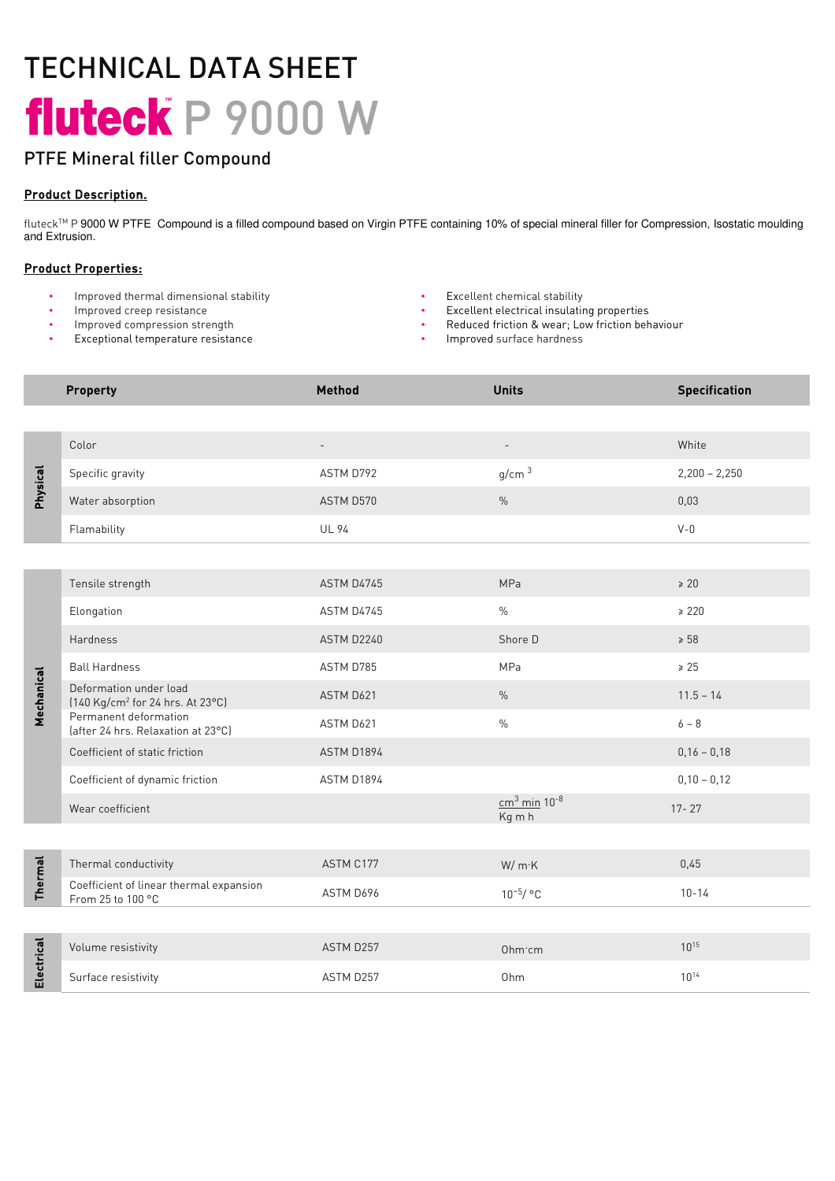# TECHNICAL DATA SHEET fluteck P 9000 W

# PTFE Mineral filler Compound

### Product Description.

fluteck™ P 9000 W PTFE Compound is a filled compound based on Virgin PTFE containing 10% of special mineral filler for Compression, Isostatic moulding and Extrusion.

## Product Properties:

- Improved thermal dimensional stability
- Improved creep resistance
- Improved compression strength
- Exceptional temperature resistance
- Excellent chemical stability
- Excellent electrical insulating properties
- Reduced friction & wear; Low friction behaviour
- Improved surface hardness

|                 | <b>Property</b>                                                        | <b>Method</b>            | <b>Units</b>                         | <b>Specification</b> |
|-----------------|------------------------------------------------------------------------|--------------------------|--------------------------------------|----------------------|
|                 |                                                                        |                          |                                      |                      |
| <b>Physical</b> | Color                                                                  | $\overline{\phantom{a}}$ | $\overline{\phantom{a}}$             | White                |
|                 | Specific gravity                                                       | ASTM D792                | g/cm <sup>3</sup>                    | $2,200 - 2,250$      |
|                 | Water absorption                                                       | ASTM D570                | $\frac{0}{0}$                        | 0,03                 |
|                 | Flamability                                                            | <b>UL 94</b>             |                                      | $V - 0$              |
|                 |                                                                        |                          |                                      |                      |
| Mechanical      | Tensile strength                                                       | ASTM D4745               | MPa                                  | $\geq 20$            |
|                 | Elongation                                                             | ASTM D4745               | $\frac{0}{0}$                        | $\geq 220$           |
|                 | Hardness                                                               | ASTM D2240               | Shore D                              | $\geq 58$            |
|                 | <b>Ball Hardness</b>                                                   | ASTM D785                | MPa                                  | $\geq 25$            |
|                 | Deformation under load<br>[140 Kg/cm <sup>2</sup> for 24 hrs. At 23°C] | ASTM D621                | $\%$                                 | $11.5 - 14$          |
|                 | Permanent deformation<br>(after 24 hrs. Relaxation at 23°C)            | ASTM D621                | $\frac{0}{0}$                        | $6 - 8$              |
|                 | Coefficient of static friction                                         | ASTM D1894               |                                      | $0,16 - 0,18$        |
|                 | Coefficient of dynamic friction                                        | ASTM D1894               |                                      | $0,10 - 0,12$        |
|                 | Wear coefficient                                                       |                          | $cm3$ min 10 <sup>-8</sup><br>Kg m h | $17 - 27$            |
|                 |                                                                        |                          |                                      |                      |
| <b>Thermal</b>  | Thermal conductivity                                                   | ASTM C177                | W/mK                                 | 0,45                 |
|                 | Coefficient of linear thermal expansion<br>From 25 to 100 °C           | ASTM D696                | $10^{-5}/ °C$                        | $10 - 14$            |
|                 |                                                                        |                          |                                      |                      |
| Electrical      | Volume resistivity                                                     | ASTM D257                | Ohm·cm                               | $10^{15}$            |
|                 | Surface resistivity                                                    | ASTM D257                | Ohm                                  | $10^{14}$            |
|                 |                                                                        |                          |                                      |                      |
|                 |                                                                        |                          |                                      |                      |
|                 |                                                                        |                          |                                      |                      |
|                 |                                                                        |                          |                                      |                      |
|                 |                                                                        |                          |                                      |                      |